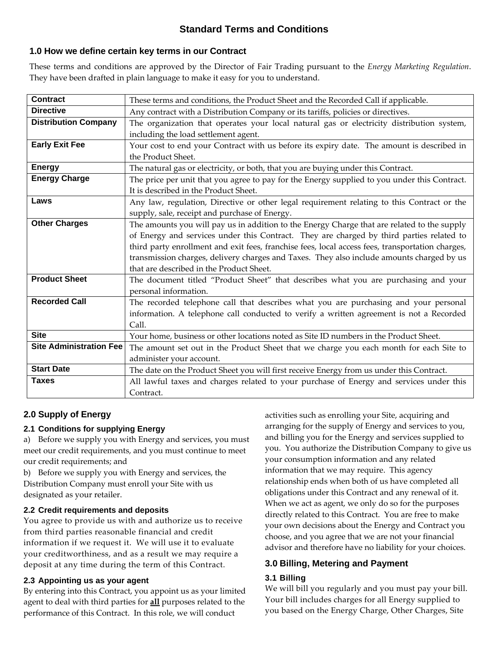# **Standard Terms and Conditions**

## **1.0 How we define certain key terms in our Contract**

These terms and conditions are approved by the Director of Fair Trading pursuant to the *Energy Marketing Regulation*. They have been drafted in plain language to make it easy for you to understand.

| <b>Contract</b>                | These terms and conditions, the Product Sheet and the Recorded Call if applicable.               |
|--------------------------------|--------------------------------------------------------------------------------------------------|
| <b>Directive</b>               | Any contract with a Distribution Company or its tariffs, policies or directives.                 |
| <b>Distribution Company</b>    | The organization that operates your local natural gas or electricity distribution system,        |
|                                | including the load settlement agent.                                                             |
| <b>Early Exit Fee</b>          | Your cost to end your Contract with us before its expiry date. The amount is described in        |
|                                | the Product Sheet.                                                                               |
| <b>Energy</b>                  | The natural gas or electricity, or both, that you are buying under this Contract.                |
| <b>Energy Charge</b>           | The price per unit that you agree to pay for the Energy supplied to you under this Contract.     |
|                                | It is described in the Product Sheet.                                                            |
| Laws                           | Any law, regulation, Directive or other legal requirement relating to this Contract or the       |
|                                | supply, sale, receipt and purchase of Energy.                                                    |
| <b>Other Charges</b>           | The amounts you will pay us in addition to the Energy Charge that are related to the supply      |
|                                | of Energy and services under this Contract. They are charged by third parties related to         |
|                                | third party enrollment and exit fees, franchise fees, local access fees, transportation charges, |
|                                | transmission charges, delivery charges and Taxes. They also include amounts charged by us        |
|                                | that are described in the Product Sheet.                                                         |
| <b>Product Sheet</b>           | The document titled "Product Sheet" that describes what you are purchasing and your              |
|                                | personal information.                                                                            |
| <b>Recorded Call</b>           | The recorded telephone call that describes what you are purchasing and your personal             |
|                                | information. A telephone call conducted to verify a written agreement is not a Recorded          |
|                                | Call.                                                                                            |
| <b>Site</b>                    | Your home, business or other locations noted as Site ID numbers in the Product Sheet.            |
| <b>Site Administration Fee</b> | The amount set out in the Product Sheet that we charge you each month for each Site to           |
|                                | administer your account.                                                                         |
| <b>Start Date</b>              | The date on the Product Sheet you will first receive Energy from us under this Contract.         |
| <b>Taxes</b>                   | All lawful taxes and charges related to your purchase of Energy and services under this          |
|                                | Contract.                                                                                        |

## **2.0 Supply of Energy**

### **2.1 Conditions for supplying Energy**

a) Before we supply you with Energy and services, you must meet our credit requirements, and you must continue to meet our credit requirements; and

b) Before we supply you with Energy and services, the Distribution Company must enroll your Site with us designated as your retailer.

### **2.2 Credit requirements and deposits**

You agree to provide us with and authorize us to receive from third parties reasonable financial and credit information if we request it. We will use it to evaluate your creditworthiness, and as a result we may require a deposit at any time during the term of this Contract.

### **2.3 Appointing us as your agent**

By entering into this Contract, you appoint us as your limited agent to deal with third parties for **all** purposes related to the performance of this Contract. In this role, we will conduct

activities such as enrolling your Site, acquiring and arranging for the supply of Energy and services to you, and billing you for the Energy and services supplied to you. You authorize the Distribution Company to give us your consumption information and any related information that we may require. This agency relationship ends when both of us have completed all obligations under this Contract and any renewal of it. When we act as agent, we only do so for the purposes directly related to this Contract. You are free to make your own decisions about the Energy and Contract you choose, and you agree that we are not your financial advisor and therefore have no liability for your choices.

## **3.0 Billing, Metering and Payment**

### **3.1 Billing**

We will bill you regularly and you must pay your bill. Your bill includes charges for all Energy supplied to you based on the Energy Charge, Other Charges, Site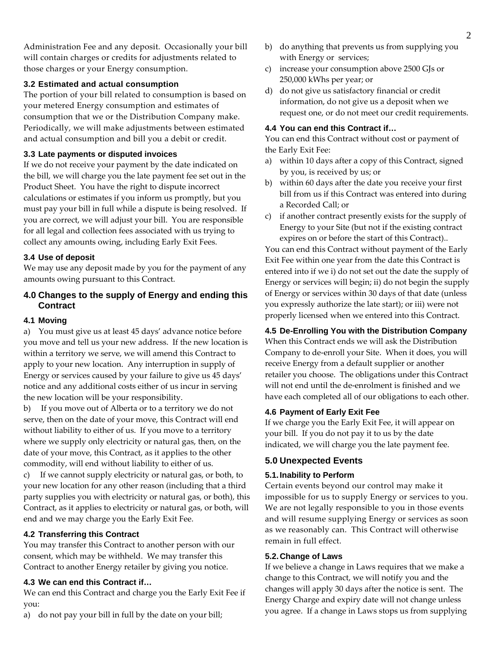Administration Fee and any deposit. Occasionally your bill will contain charges or credits for adjustments related to those charges or your Energy consumption.

### **3.2 Estimated and actual consumption**

The portion of your bill related to consumption is based on your metered Energy consumption and estimates of consumption that we or the Distribution Company make. Periodically, we will make adjustments between estimated and actual consumption and bill you a debit or credit.

#### **3.3 Late payments or disputed invoices**

If we do not receive your payment by the date indicated on the bill, we will charge you the late payment fee set out in the Product Sheet. You have the right to dispute incorrect calculations or estimates if you inform us promptly, but you must pay your bill in full while a dispute is being resolved. If you are correct, we will adjust your bill. You are responsible for all legal and collection fees associated with us trying to collect any amounts owing, including Early Exit Fees.

#### **3.4 Use of deposit**

We may use any deposit made by you for the payment of any amounts owing pursuant to this Contract.

## **4.0 Changes to the supply of Energy and ending this Contract**

#### **4.1 Moving**

a) You must give us at least 45 days' advance notice before you move and tell us your new address. If the new location is within a territory we serve, we will amend this Contract to apply to your new location. Any interruption in supply of Energy or services caused by your failure to give us 45 days' notice and any additional costs either of us incur in serving the new location will be your responsibility.

b) If you move out of Alberta or to a territory we do not serve, then on the date of your move, this Contract will end without liability to either of us. If you move to a territory where we supply only electricity or natural gas, then, on the date of your move, this Contract, as it applies to the other commodity, will end without liability to either of us.

c) If we cannot supply electricity or natural gas, or both, to your new location for any other reason (including that a third party supplies you with electricity or natural gas, or both), this Contract, as it applies to electricity or natural gas, or both, will end and we may charge you the Early Exit Fee.

#### **4.2 Transferring this Contract**

You may transfer this Contract to another person with our consent, which may be withheld. We may transfer this Contract to another Energy retailer by giving you notice.

#### **4.3 We can end this Contract if…**

We can end this Contract and charge you the Early Exit Fee if you:

a) do not pay your bill in full by the date on your bill;

- b) do anything that prevents us from supplying you with Energy or services;
- c) increase your consumption above 2500 GJs or 250,000 kWhs per year; or
- d) do not give us satisfactory financial or credit information, do not give us a deposit when we request one, or do not meet our credit requirements.

#### **4.4 You can end this Contract if…**

You can end this Contract without cost or payment of the Early Exit Fee:

- a) within 10 days after a copy of this Contract, signed by you, is received by us; or
- b) within 60 days after the date you receive your first bill from us if this Contract was entered into during a Recorded Call; or
- c) if another contract presently exists for the supply of Energy to your Site (but not if the existing contract expires on or before the start of this Contract)..

You can end this Contract without payment of the Early Exit Fee within one year from the date this Contract is entered into if we i) do not set out the date the supply of Energy or services will begin; ii) do not begin the supply of Energy or services within 30 days of that date (unless you expressly authorize the late start); or iii) were not properly licensed when we entered into this Contract.

#### **4.5 De-Enrolling You with the Distribution Company**

When this Contract ends we will ask the Distribution Company to de-enroll your Site. When it does, you will receive Energy from a default supplier or another retailer you choose. The obligations under this Contract will not end until the de-enrolment is finished and we have each completed all of our obligations to each other.

#### **4.6 Payment of Early Exit Fee**

If we charge you the Early Exit Fee, it will appear on your bill. If you do not pay it to us by the date indicated, we will charge you the late payment fee.

### **5.0 Unexpected Events**

#### **5.1. Inability to Perform**

Certain events beyond our control may make it impossible for us to supply Energy or services to you. We are not legally responsible to you in those events and will resume supplying Energy or services as soon as we reasonably can. This Contract will otherwise remain in full effect.

#### **5.2. Change of Laws**

If we believe a change in Laws requires that we make a change to this Contract, we will notify you and the changes will apply 30 days after the notice is sent. The Energy Charge and expiry date will not change unless you agree. If a change in Laws stops us from supplying